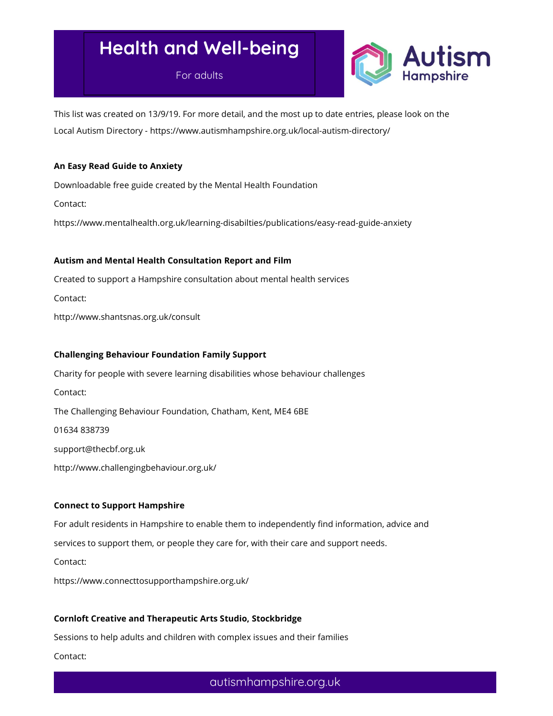For adults



This list was created on 13/9/19. For more detail, and the most up to date entries, please look on the Local Autism Directory - https://www.autismhampshire.org.uk/local-autism-directory/

#### An Easy Read Guide to Anxiety

Downloadable free guide created by the Mental Health Foundation

Contact:

https://www.mentalhealth.org.uk/learning-disabilties/publications/easy-read-guide-anxiety

#### Autism and Mental Health Consultation Report and Film

Created to support a Hampshire consultation about mental health services Contact: http://www.shantsnas.org.uk/consult

#### Challenging Behaviour Foundation Family Support

Charity for people with severe learning disabilities whose behaviour challenges Contact: The Challenging Behaviour Foundation, Chatham, Kent, ME4 6BE 01634 838739 support@thecbf.org.uk http://www.challengingbehaviour.org.uk/

#### Connect to Support Hampshire

For adult residents in Hampshire to enable them to independently find information, advice and

services to support them, or people they care for, with their care and support needs.

Contact:

https://www.connecttosupporthampshire.org.uk/

## Cornloft Creative and Therapeutic Arts Studio, Stockbridge

Sessions to help adults and children with complex issues and their families

Contact: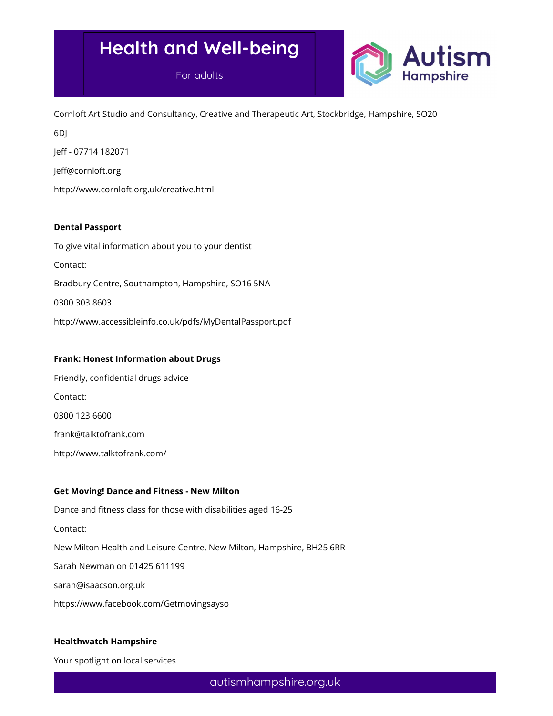For adults



Cornloft Art Studio and Consultancy, Creative and Therapeutic Art, Stockbridge, Hampshire, SO20

6DJ

Jeff - 07714 182071

Jeff@cornloft.org

http://www.cornloft.org.uk/creative.html

#### Dental Passport

To give vital information about you to your dentist Contact: Bradbury Centre, Southampton, Hampshire, SO16 5NA 0300 303 8603 http://www.accessibleinfo.co.uk/pdfs/MyDentalPassport.pdf

## Frank: Honest Information about Drugs

Friendly, confidential drugs advice Contact: 0300 123 6600 frank@talktofrank.com http://www.talktofrank.com/

#### Get Moving! Dance and Fitness - New Milton

Dance and fitness class for those with disabilities aged 16-25 Contact: New Milton Health and Leisure Centre, New Milton, Hampshire, BH25 6RR Sarah Newman on 01425 611199 sarah@isaacson.org.uk https://www.facebook.com/Getmovingsayso

## Healthwatch Hampshire

Your spotlight on local services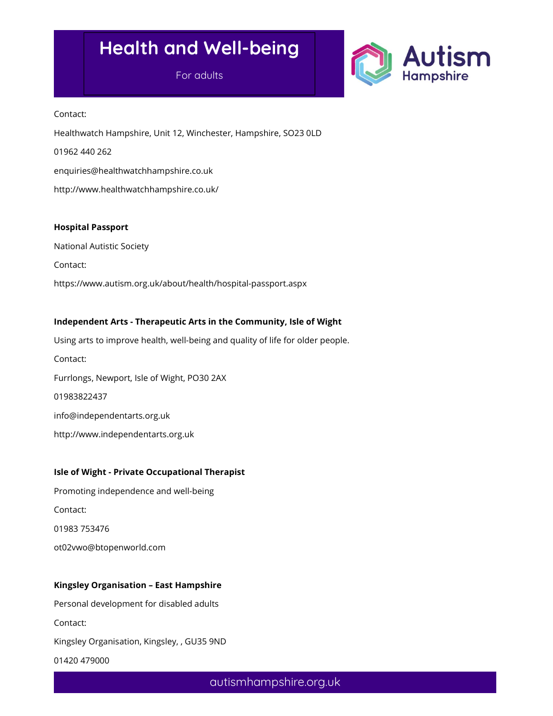For adults



Contact:

Healthwatch Hampshire, Unit 12, Winchester, Hampshire, SO23 0LD 01962 440 262 enquiries@healthwatchhampshire.co.uk http://www.healthwatchhampshire.co.uk/

#### Hospital Passport

National Autistic Society

Contact:

https://www.autism.org.uk/about/health/hospital-passport.aspx

## Independent Arts - Therapeutic Arts in the Community, Isle of Wight

Using arts to improve health, well-being and quality of life for older people. Contact: Furrlongs, Newport, Isle of Wight, PO30 2AX 01983822437 info@independentarts.org.uk http://www.independentarts.org.uk

## Isle of Wight - Private Occupational Therapist

Promoting independence and well-being Contact: 01983 753476 ot02vwo@btopenworld.com

## Kingsley Organisation – East Hampshire

Personal development for disabled adults

Contact:

Kingsley Organisation, Kingsley, , GU35 9ND

01420 479000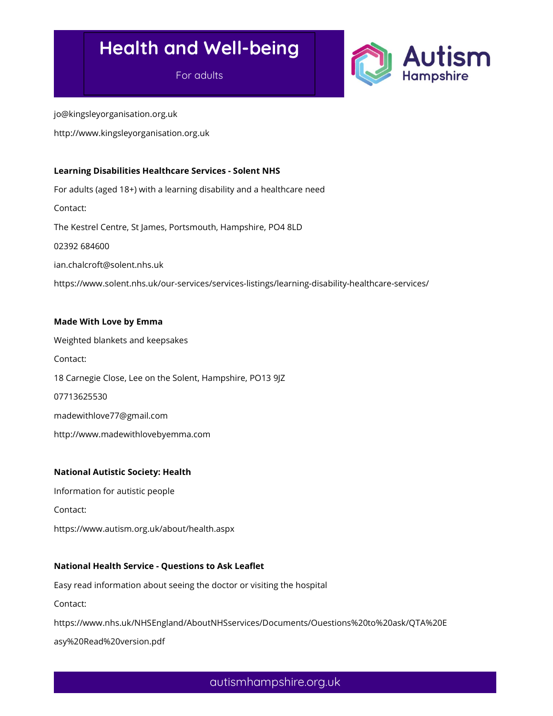For adults



jo@kingsleyorganisation.org.uk

http://www.kingsleyorganisation.org.uk

#### Learning Disabilities Healthcare Services - Solent NHS

For adults (aged 18+) with a learning disability and a healthcare need Contact: The Kestrel Centre, St James, Portsmouth, Hampshire, PO4 8LD 02392 684600 ian.chalcroft@solent.nhs.uk https://www.solent.nhs.uk/our-services/services-listings/learning-disability-healthcare-services/

## Made With Love by Emma

Weighted blankets and keepsakes Contact: 18 Carnegie Close, Lee on the Solent, Hampshire, PO13 9JZ 07713625530 madewithlove77@gmail.com http://www.madewithlovebyemma.com

## National Autistic Society: Health

Information for autistic people

Contact:

https://www.autism.org.uk/about/health.aspx

## National Health Service - Questions to Ask Leaflet

Easy read information about seeing the doctor or visiting the hospital

Contact:

https://www.nhs.uk/NHSEngland/AboutNHSservices/Documents/Ouestions%20to%20ask/QTA%20E

asy%20Read%20version.pdf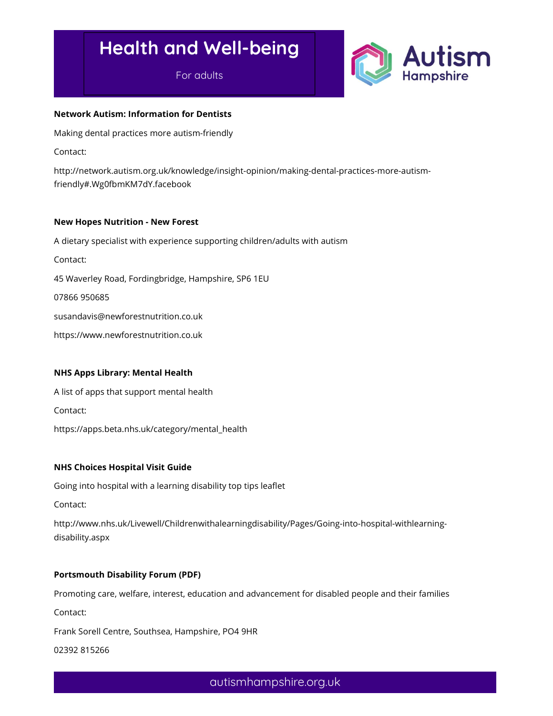For adults



#### Network Autism: Information for Dentists

Making dental practices more autism-friendly

Contact:

http://network.autism.org.uk/knowledge/insight-opinion/making-dental-practices-more-autismfriendly#.Wg0fbmKM7dY.facebook

#### New Hopes Nutrition - New Forest

A dietary specialist with experience supporting children/adults with autism Contact: 45 Waverley Road, Fordingbridge, Hampshire, SP6 1EU 07866 950685 susandavis@newforestnutrition.co.uk https://www.newforestnutrition.co.uk

## NHS Apps Library: Mental Health

A list of apps that support mental health

Contact:

https://apps.beta.nhs.uk/category/mental\_health

## NHS Choices Hospital Visit Guide

Going into hospital with a learning disability top tips leaflet

Contact:

http://www.nhs.uk/Livewell/Childrenwithalearningdisability/Pages/Going-into-hospital-withlearningdisability.aspx

## Portsmouth Disability Forum (PDF)

Promoting care, welfare, interest, education and advancement for disabled people and their families

Contact:

Frank Sorell Centre, Southsea, Hampshire, PO4 9HR

02392 815266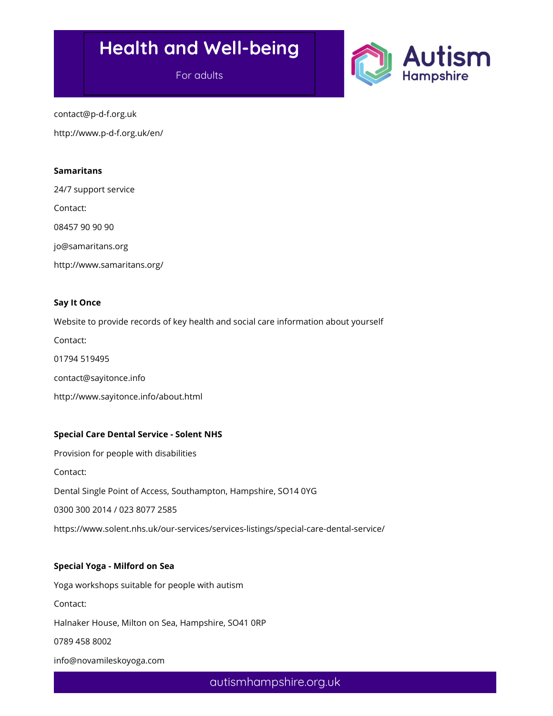For adults



contact@p-d-f.org.uk

http://www.p-d-f.org.uk/en/

#### Samaritans

24/7 support service

Contact:

08457 90 90 90

jo@samaritans.org

http://www.samaritans.org/

#### Say It Once

Website to provide records of key health and social care information about yourself Contact: 01794 519495 contact@sayitonce.info http://www.sayitonce.info/about.html

## Special Care Dental Service - Solent NHS

Provision for people with disabilities Contact: Dental Single Point of Access, Southampton, Hampshire, SO14 0YG 0300 300 2014 / 023 8077 2585 https://www.solent.nhs.uk/our-services/services-listings/special-care-dental-service/

## Special Yoga - Milford on Sea

Yoga workshops suitable for people with autism Contact: Halnaker House, Milton on Sea, Hampshire, SO41 0RP

0789 458 8002

info@novamileskoyoga.com